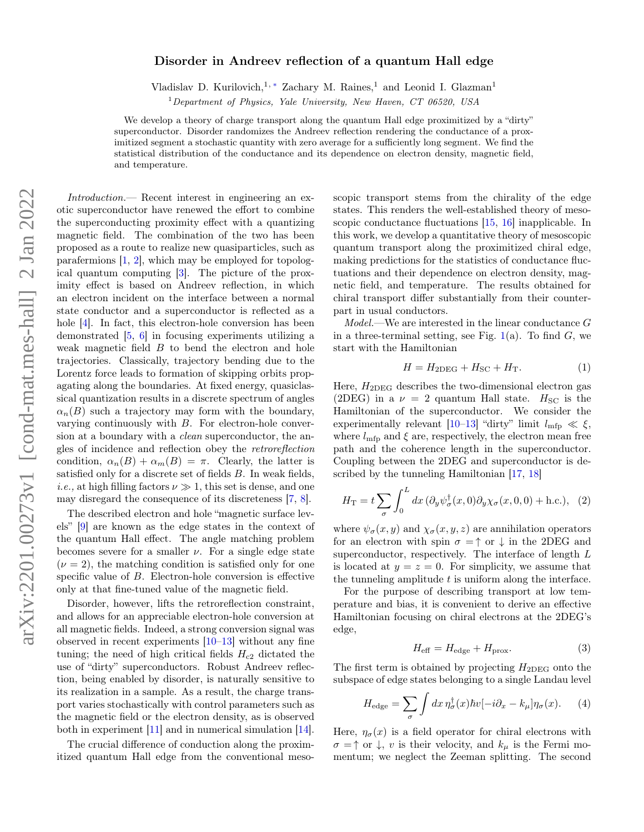### Disorder in Andreev reflection of a quantum Hall edge

Vladislav D. Kurilovich,<sup>1, ∗</sup> Zachary M. Raines,<sup>1</sup> and Leonid I. Glazman<sup>1</sup>

 $1$ Department of Physics, Yale University, New Haven, CT 06520, USA

We develop a theory of charge transport along the quantum Hall edge proximitized by a "dirty" superconductor. Disorder randomizes the Andreev reflection rendering the conductance of a proximitized segment a stochastic quantity with zero average for a sufficiently long segment. We find the statistical distribution of the conductance and its dependence on electron density, magnetic field, and temperature.

Introduction.— Recent interest in engineering an exotic superconductor have renewed the effort to combine the superconducting proximity effect with a quantizing magnetic field. The combination of the two has been proposed as a route to realize new quasiparticles, such as parafermions [1, 2], which may be employed for topological quantum computing [3]. The picture of the proximity effect is based on Andreev reflection, in which an electron incident on the interface between a normal state conductor and a superconductor is reflected as a hole [4]. In fact, this electron-hole conversion has been demonstrated [5, 6] in focusing experiments utilizing a weak magnetic field B to bend the electron and hole trajectories. Classically, trajectory bending due to the Lorentz force leads to formation of skipping orbits propagating along the boundaries. At fixed energy, quasiclassical quantization results in a discrete spectrum of angles  $\alpha_n(B)$  such a trajectory may form with the boundary, varying continuously with B. For electron-hole conversion at a boundary with a *clean* superconductor, the angles of incidence and reflection obey the retroreflection condition,  $\alpha_n(B) + \alpha_m(B) = \pi$ . Clearly, the latter is satisfied only for a discrete set of fields  $B$ . In weak fields, *i.e.*, at high filling factors  $\nu \gg 1$ , this set is dense, and one may disregard the consequence of its discreteness [7, 8].

The described electron and hole "magnetic surface levels" [9] are known as the edge states in the context of the quantum Hall effect. The angle matching problem becomes severe for a smaller  $\nu$ . For a single edge state  $(\nu = 2)$ , the matching condition is satisfied only for one specific value of B. Electron-hole conversion is effective only at that fine-tuned value of the magnetic field.

Disorder, however, lifts the retroreflection constraint, and allows for an appreciable electron-hole conversion at all magnetic fields. Indeed, a strong conversion signal was observed in recent experiments  $[10-13]$  without any fine tuning; the need of high critical fields  $H_{c2}$  dictated the use of "dirty" superconductors. Robust Andreev reflection, being enabled by disorder, is naturally sensitive to its realization in a sample. As a result, the charge transport varies stochastically with control parameters such as the magnetic field or the electron density, as is observed both in experiment [11] and in numerical simulation [14].

The crucial difference of conduction along the proximitized quantum Hall edge from the conventional mesoscopic transport stems from the chirality of the edge states. This renders the well-established theory of mesoscopic conductance fluctuations [15, 16] inapplicable. In this work, we develop a quantitative theory of mesoscopic quantum transport along the proximitized chiral edge, making predictions for the statistics of conductance fluctuations and their dependence on electron density, magnetic field, and temperature. The results obtained for chiral transport differ substantially from their counterpart in usual conductors.

Model.—We are interested in the linear conductance G in a three-terminal setting, see Fig.  $1(a)$ . To find G, we start with the Hamiltonian

$$
H = H_{2DEG} + H_{SC} + H_T. \tag{1}
$$

Here,  $H_{2DEG}$  describes the two-dimensional electron gas (2DEG) in a  $\nu = 2$  quantum Hall state.  $H_{SC}$  is the Hamiltonian of the superconductor. We consider the experimentally relevant [10–13] "dirty" limit  $l_{\text{mfp}} \ll \xi$ , where  $l_{\text{mfp}}$  and  $\xi$  are, respectively, the electron mean free path and the coherence length in the superconductor. Coupling between the 2DEG and superconductor is described by the tunneling Hamiltonian [17, 18]

$$
H_{\rm T} = t \sum_{\sigma} \int_0^L dx \, (\partial_y \psi_{\sigma}^{\dagger}(x,0) \partial_y \chi_{\sigma}(x,0,0) + \text{h.c.}), \tag{2}
$$

where  $\psi_{\sigma}(x, y)$  and  $\chi_{\sigma}(x, y, z)$  are annihilation operators for an electron with spin  $\sigma = \uparrow$  or  $\downarrow$  in the 2DEG and superconductor, respectively. The interface of length L is located at  $y = z = 0$ . For simplicity, we assume that the tunneling amplitude  $t$  is uniform along the interface.

For the purpose of describing transport at low temperature and bias, it is convenient to derive an effective Hamiltonian focusing on chiral electrons at the 2DEG's edge,

$$
H_{\text{eff}} = H_{\text{edge}} + H_{\text{prox}}.\tag{3}
$$

The first term is obtained by projecting  $H_{2DEG}$  onto the subspace of edge states belonging to a single Landau level

$$
H_{\rm edge} = \sum_{\sigma} \int dx \, \eta_{\sigma}^{\dagger}(x) \hbar v[-i\partial_x - k_{\mu}] \eta_{\sigma}(x). \tag{4}
$$

Here,  $\eta_{\sigma}(x)$  is a field operator for chiral electrons with  $\sigma = \uparrow$  or  $\downarrow$ , v is their velocity, and  $k_{\mu}$  is the Fermi momentum; we neglect the Zeeman splitting. The second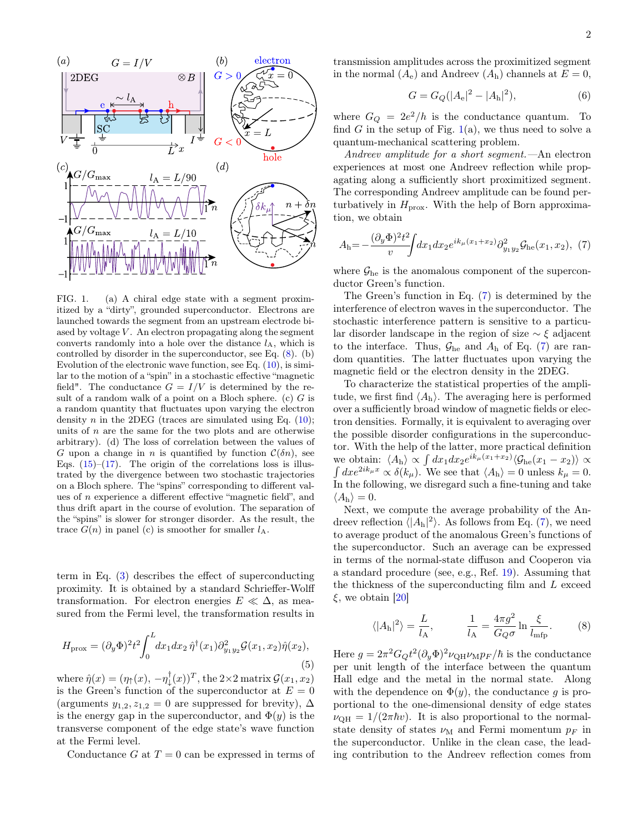

FIG. 1. (a) A chiral edge state with a segment proximitized by a "dirty", grounded superconductor. Electrons are launched towards the segment from an upstream electrode biased by voltage  $V$ . An electron propagating along the segment converts randomly into a hole over the distance  $l_A$ , which is controlled by disorder in the superconductor, see Eq. (8). (b) Evolution of the electronic wave function, see Eq. (10), is similar to the motion of a "spin" in a stochastic effective "magnetic field". The conductance  $G = I/V$  is determined by the result of a random walk of a point on a Bloch sphere.  $(c)$  G is a random quantity that fluctuates upon varying the electron density *n* in the 2DEG (traces are simulated using Eq.  $(10)$ ; units of  $n$  are the same for the two plots and are otherwise arbitrary). (d) The loss of correlation between the values of G upon a change in n is quantified by function  $\mathcal{C}(\delta n)$ , see Eqs.  $(15)$ – $(17)$ . The origin of the correlations loss is illustrated by the divergence between two stochastic trajectories on a Bloch sphere. The "spins" corresponding to different values of n experience a different effective "magnetic field", and thus drift apart in the course of evolution. The separation of the "spins" is slower for stronger disorder. As the result, the trace  $G(n)$  in panel (c) is smoother for smaller  $l_A$ .

term in Eq. (3) describes the effect of superconducting proximity. It is obtained by a standard Schrieffer-Wolff transformation. For electron energies  $E \ll \Delta$ , as measured from the Fermi level, the transformation results in

$$
H_{\text{prox}} = (\partial_y \Phi)^2 t^2 \int_0^L dx_1 dx_2 \,\hat{\eta}^\dagger(x_1) \partial_{y_1 y_2}^2 \mathcal{G}(x_1, x_2) \hat{\eta}(x_2),\tag{5}
$$

where  $\hat{\eta}(x) = (\eta_{\uparrow}(x), -\eta_{\downarrow}^{\dagger}(x))^T$ , the 2×2 matrix  $\mathcal{G}(x_1, x_2)$ is the Green's function of the superconductor at  $E = 0$ (arguments  $y_{1,2}, z_{1,2} = 0$  are suppressed for brevity),  $\Delta$ is the energy gap in the superconductor, and  $\Phi(y)$  is the transverse component of the edge state's wave function at the Fermi level.

Conductance G at  $T = 0$  can be expressed in terms of

transmission amplitudes across the proximitized segment in the normal  $(A_e)$  and Andreev  $(A_h)$  channels at  $E = 0$ ,

$$
G = G_Q(|A_e|^2 - |A_h|^2),\tag{6}
$$

where  $G_Q = 2e^2/h$  is the conductance quantum. To find G in the setup of Fig.  $1(a)$ , we thus need to solve a quantum-mechanical scattering problem.

Andreev amplitude for a short segment.—An electron experiences at most one Andreev reflection while propagating along a sufficiently short proximitized segment. The corresponding Andreev amplitude can be found perturbatively in  $H_{\text{prox}}$ . With the help of Born approximation, we obtain

$$
A_{\rm h} = -\frac{(\partial_y \Phi)^2 t^2}{v} \int dx_1 dx_2 e^{ik_\mu(x_1+x_2)} \partial_{y_1 y_2}^2 \mathcal{G}_{\rm he}(x_1, x_2), \tag{7}
$$

where  $\mathcal{G}_{he}$  is the anomalous component of the superconductor Green's function.

The Green's function in Eq. (7) is determined by the interference of electron waves in the superconductor. The stochastic interference pattern is sensitive to a particular disorder landscape in the region of size ∼ ξ adjacent to the interface. Thus,  $\mathcal{G}_{he}$  and  $A_h$  of Eq. (7) are random quantities. The latter fluctuates upon varying the magnetic field or the electron density in the 2DEG.

To characterize the statistical properties of the amplitude, we first find  $\langle A_{h} \rangle$ . The averaging here is performed over a sufficiently broad window of magnetic fields or electron densities. Formally, it is equivalent to averaging over the possible disorder configurations in the superconductor. With the help of the latter, more practical definition we obtain:  $\langle A_{h} \rangle \propto \int dx_1 dx_2 e^{ik_{\mu}(x_1+x_2)} \langle \mathcal{G}_{he}(x_1-x_2) \rangle \propto$  $\int dx e^{2ik_{\mu}x} \propto \delta(k_{\mu}).$  We see that  $\langle A_{\mathbf{h}} \rangle = 0$  unless  $k_{\mu} = 0$ . In the following, we disregard such a fine-tuning and take  $\langle A_{\rm h} \rangle = 0.$ 

Next, we compute the average probability of the Andreev reflection  $\langle |A_h|^2 \rangle$ . As follows from Eq. (7), we need to average product of the anomalous Green's functions of the superconductor. Such an average can be expressed in terms of the normal-state diffuson and Cooperon via a standard procedure (see, e.g., Ref. 19). Assuming that the thickness of the superconducting film and L exceed  $\xi$ , we obtain [20]

$$
\langle |A_{\rm h}|^2 \rangle = \frac{L}{l_{\rm A}}, \qquad \frac{1}{l_{\rm A}} = \frac{4\pi g^2}{G_Q \sigma} \ln \frac{\xi}{l_{\rm mfp}}.\tag{8}
$$

Here  $g = 2\pi^2 G_Q t^2 (\partial_y \Phi)^2 \nu_{\text{QH}} \nu_{\text{M}} p_F / \hbar$  is the conductance per unit length of the interface between the quantum Hall edge and the metal in the normal state. Along with the dependence on  $\Phi(y)$ , the conductance g is proportional to the one-dimensional density of edge states  $\nu_{\text{QH}} = 1/(2\pi\hbar v)$ . It is also proportional to the normalstate density of states  $\nu_M$  and Fermi momentum  $p_F$  in the superconductor. Unlike in the clean case, the leading contribution to the Andreev reflection comes from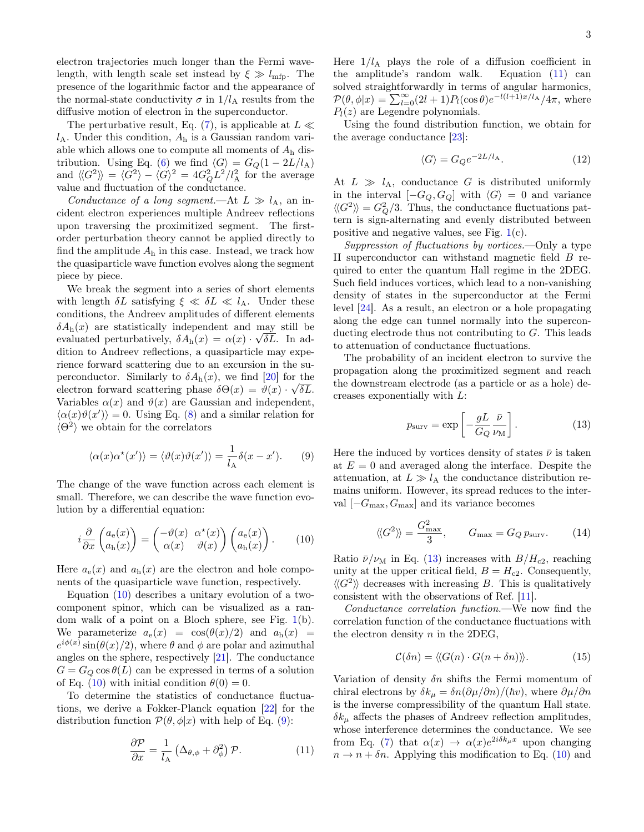electron trajectories much longer than the Fermi wavelength, with length scale set instead by  $\xi \gg l_{\text{mfp}}$ . The presence of the logarithmic factor and the appearance of the normal-state conductivity  $\sigma$  in  $1/l_A$  results from the diffusive motion of electron in the superconductor.

The perturbative result, Eq. (7), is applicable at  $L \ll$  $l_A$ . Under this condition,  $A_h$  is a Gaussian random variable which allows one to compute all moments of  $A<sub>h</sub>$  distribution. Using Eq. (6) we find  $\langle G \rangle = G_Q(1 - 2L/l_A)$ and  $\langle \langle G^2 \rangle \rangle = \langle G^2 \rangle - \langle G \rangle^2 = 4G_Q^2 L^2 / l_A^2$  for the average value and fluctuation of the conductance.

Conductance of a long segment.—At  $L \gg l_A$ , an incident electron experiences multiple Andreev reflections upon traversing the proximitized segment. The firstorder perturbation theory cannot be applied directly to find the amplitude  $A_h$  in this case. Instead, we track how the quasiparticle wave function evolves along the segment piece by piece.

We break the segment into a series of short elements with length  $\delta L$  satisfying  $\xi \ll \delta L \ll l_A$ . Under these conditions, the Andreev amplitudes of different elements  $\delta A_h(x)$  are statistically independent and may still be evaluated perturbatively,  $\delta A_h(x) = \alpha(x) \cdot \sqrt{\delta L}$ . In addition to Andreev reflections, a quasiparticle may experience forward scattering due to an excursion in the superconductor. Similarly to  $\delta A_{h}(x)$ , we find [20] for the electron forward scattering phase  $\delta\Theta(x) = \vartheta(x) \cdot \sqrt{\delta L}$ . Variables  $\alpha(x)$  and  $\vartheta(x)$  are Gaussian and independent,  $\langle \alpha(x)\vartheta(x') \rangle = 0.$  Using Eq. (8) and a similar relation for  $\langle \Theta^2 \rangle$  we obtain for the correlators

$$
\langle \alpha(x)\alpha^*(x')\rangle = \langle \vartheta(x)\vartheta(x')\rangle = \frac{1}{l_A}\delta(x - x'). \tag{9}
$$

The change of the wave function across each element is small. Therefore, we can describe the wave function evolution by a differential equation:

$$
i\frac{\partial}{\partial x}\begin{pmatrix} a_{\rm e}(x) \\ a_{\rm h}(x) \end{pmatrix} = \begin{pmatrix} -\vartheta(x) & \alpha^*(x) \\ \alpha(x) & \vartheta(x) \end{pmatrix} \begin{pmatrix} a_{\rm e}(x) \\ a_{\rm h}(x) \end{pmatrix}.
$$
 (10)

Here  $a_e(x)$  and  $a_h(x)$  are the electron and hole components of the quasiparticle wave function, respectively.

Equation (10) describes a unitary evolution of a twocomponent spinor, which can be visualized as a random walk of a point on a Bloch sphere, see Fig. 1(b). We parameterize  $a_e(x) = \cos(\theta(x)/2)$  and  $a_h(x) =$  $e^{i\phi(x)}\sin(\theta(x)/2)$ , where  $\theta$  and  $\phi$  are polar and azimuthal angles on the sphere, respectively [21]. The conductance  $G = G_Q \cos \theta(L)$  can be expressed in terms of a solution of Eq. (10) with initial condition  $\theta(0) = 0$ .

To determine the statistics of conductance fluctuations, we derive a Fokker-Planck equation [22] for the distribution function  $\mathcal{P}(\theta, \phi|x)$  with help of Eq. (9):

$$
\frac{\partial \mathcal{P}}{\partial x} = \frac{1}{l_{\mathbf{A}}} \left( \Delta_{\theta, \phi} + \partial_{\phi}^{2} \right) \mathcal{P}.
$$
 (11)

Here  $1/l_A$  plays the role of a diffusion coefficient in the amplitude's random walk. Equation (11) can solved straightforwardly in terms of angular harmonics,  $\mathcal{P}(\theta,\phi|x) = \sum_{l=0}^{\infty} (2l+1) P_l(\cos\theta) e^{-l(l+1)x/l_A}/4\pi$ , where  $P_l(z)$  are Legendre polynomials.

Using the found distribution function, we obtain for the average conductance [23]:

$$
\langle G \rangle = G_Q e^{-2L/l_A}.
$$
 (12)

At  $L \gg l_A$ , conductance G is distributed uniformly in the interval  $[-G_Q, G_Q]$  with  $\langle G \rangle = 0$  and variance  $\langle \langle G^2 \rangle \rangle = G_Q^2/3$ . Thus, the conductance fluctuations pattern is sign-alternating and evenly distributed between positive and negative values, see Fig.  $1(c)$ .

Suppression of fluctuations by vortices.—Only a type II superconductor can withstand magnetic field B required to enter the quantum Hall regime in the 2DEG. Such field induces vortices, which lead to a non-vanishing density of states in the superconductor at the Fermi level [24]. As a result, an electron or a hole propagating along the edge can tunnel normally into the superconducting electrode thus not contributing to G. This leads to attenuation of conductance fluctuations.

The probability of an incident electron to survive the propagation along the proximitized segment and reach the downstream electrode (as a particle or as a hole) decreases exponentially with L:

$$
p_{\text{surv}} = \exp\left[-\frac{gL}{G_Q}\frac{\bar{\nu}}{\nu_{\text{M}}}\right].\tag{13}
$$

Here the induced by vortices density of states  $\bar{\nu}$  is taken at  $E = 0$  and averaged along the interface. Despite the attenuation, at  $L \gg l_A$  the conductance distribution remains uniform. However, its spread reduces to the interval  $[-G_{\text{max}}, G_{\text{max}}]$  and its variance becomes

$$
\langle \langle G^2 \rangle \rangle = \frac{G_{\text{max}}^2}{3}, \qquad G_{\text{max}} = G_Q p_{\text{surv}}.
$$
 (14)

Ratio  $\bar{\nu}/\nu_M$  in Eq. (13) increases with  $B/H_{c2}$ , reaching unity at the upper critical field,  $B = H_{c2}$ . Consequently,  $\langle \langle G^2 \rangle \rangle$  decreases with increasing B. This is qualitatively consistent with the observations of Ref. [11].

Conductance correlation function.—We now find the correlation function of the conductance fluctuations with the electron density  $n$  in the 2DEG,

$$
\mathcal{C}(\delta n) = \langle \langle G(n) \cdot G(n + \delta n) \rangle \rangle. \tag{15}
$$

Variation of density  $\delta n$  shifts the Fermi momentum of chiral electrons by  $\delta k_{\mu} = \delta n (\partial \mu / \partial n) / (\hbar v)$ , where  $\partial \mu / \partial n$ is the inverse compressibility of the quantum Hall state.  $\delta k_{\mu}$  affects the phases of Andreev reflection amplitudes, whose interference determines the conductance. We see from Eq. (7) that  $\alpha(x) \to \alpha(x)e^{2i\delta k_\mu x}$  upon changing  $n \to n + \delta n$ . Applying this modification to Eq. (10) and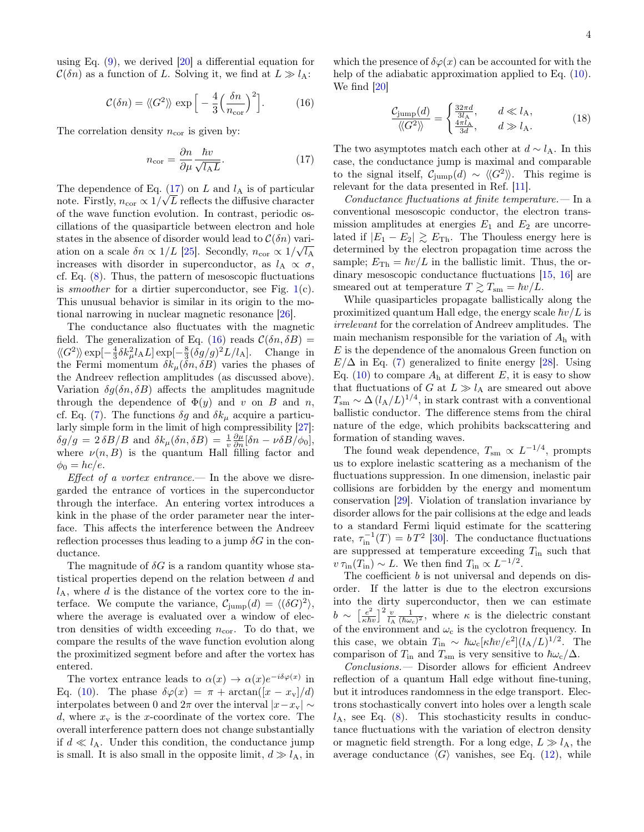using Eq. (9), we derived [20] a differential equation for  $\mathcal{C}(\delta n)$  as a function of L. Solving it, we find at  $L \gg l_A$ :

$$
\mathcal{C}(\delta n) = \langle \langle G^2 \rangle \rangle \, \exp\left[ -\frac{4}{3} \Big( \frac{\delta n}{n_{\text{cor}}} \Big)^2 \right]. \tag{16}
$$

The correlation density  $n_{cor}$  is given by:

$$
n_{\text{cor}} = \frac{\partial n}{\partial \mu} \frac{\hbar v}{\sqrt{l_{\text{A}} L}}.\tag{17}
$$

The dependence of Eq.  $(17)$  on L and  $l_A$  is of particular note. Firstly,  $n_{\text{cor}} \propto 1/\sqrt{L}$  reflects the diffusive character of the wave function evolution. In contrast, periodic oscillations of the quasiparticle between electron and hole states in the absence of disorder would lead to  $\mathcal{C}(\delta n)$  variation on a scale  $\delta n \propto 1/L$  [25]. Secondly,  $n_{\text{cor}} \propto 1/\sqrt{l_{\text{A}}}$ increases with disorder in superconductor, as  $l_A \propto \sigma$ , cf. Eq. (8). Thus, the pattern of mesoscopic fluctuations is *smoother* for a dirtier superconductor, see Fig.  $1(c)$ . This unusual behavior is similar in its origin to the motional narrowing in nuclear magnetic resonance [26].

The conductance also fluctuates with the magnetic field. The generalization of Eq. (16) reads  $\mathcal{C}(\delta n, \delta B) =$  $\langle G^2 \rangle \propto \exp[-\frac{4}{3}\delta k_\mu^2 l_A L] \exp[-\frac{8}{3}(\delta g/g)^2 L/l_A].$  Change in the Fermi momentum  $\delta k_{\mu}(\delta n, \delta B)$  varies the phases of the Andreev reflection amplitudes (as discussed above). Variation  $\delta q(\delta n, \delta B)$  affects the amplitudes magnitude through the dependence of  $\Phi(y)$  and v on B and n, cf. Eq. (7). The functions  $\delta g$  and  $\delta k_\mu$  acquire a particularly simple form in the limit of high compressibility [27]:  $\delta g/g = 2 \delta B/B$  and  $\delta k_{\mu}(\delta n, \delta B) = \frac{1}{v} \frac{\partial \mu}{\partial n} [\delta n - \nu \delta B/\phi_0],$ where  $\nu(n, B)$  is the quantum Hall filling factor and  $\phi_0 = hc/e.$ 

Effect of a vortex entrance.— In the above we disregarded the entrance of vortices in the superconductor through the interface. An entering vortex introduces a kink in the phase of the order parameter near the interface. This affects the interference between the Andreev reflection processes thus leading to a jump  $\delta G$  in the conductance.

The magnitude of  $\delta G$  is a random quantity whose statistical properties depend on the relation between d and  $l_A$ , where d is the distance of the vortex core to the interface. We compute the variance,  $C_{\text{jump}}(d) = \langle (\delta G)^2 \rangle$ , where the average is evaluated over a window of electron densities of width exceeding  $n_{cor}$ . To do that, we compare the results of the wave function evolution along the proximitized segment before and after the vortex has entered.

The vortex entrance leads to  $\alpha(x) \to \alpha(x) e^{-i\delta \varphi(x)}$  in Eq. (10). The phase  $\delta\varphi(x) = \pi + \arctan([x - x_{\rm v}]/d)$ interpolates between 0 and  $2\pi$  over the interval  $|x-x_v| \sim$ d, where  $x_v$  is the x-coordinate of the vortex core. The overall interference pattern does not change substantially if  $d \ll l_A$ . Under this condition, the conductance jump is small. It is also small in the opposite limit,  $d \gg l_A$ , in

which the presence of  $\delta\varphi(x)$  can be accounted for with the help of the adiabatic approximation applied to Eq.  $(10)$ . We find [20]

$$
\frac{\mathcal{C}_{\text{jump}}(d)}{\langle\!\langle G^2\rangle\!\rangle} = \begin{cases} \frac{32\pi d}{3l_A}, & d \ll l_A, \\ \frac{4\pi l_A}{3d}, & d \gg l_A. \end{cases} \tag{18}
$$

The two asymptotes match each other at  $d \sim l_A$ . In this case, the conductance jump is maximal and comparable to the signal itself,  $C_{\text{jump}}(d) \sim \langle \langle G^2 \rangle \rangle$ . This regime is relevant for the data presented in Ref. [11].

Conductance fluctuations at finite temperature.— In a conventional mesoscopic conductor, the electron transmission amplitudes at energies  $E_1$  and  $E_2$  are uncorrelated if  $|E_1 - E_2| \ge E_{\text{Th}}$ . The Thouless energy here is determined by the electron propagation time across the sample;  $E_{\text{Th}} = \hbar v/L$  in the ballistic limit. Thus, the ordinary mesoscopic conductance fluctuations [15, 16] are smeared out at temperature  $T \gtrsim T_{\rm sm} = \hbar v/L$ .

While quasiparticles propagate ballistically along the proximitized quantum Hall edge, the energy scale  $\hbar v/L$  is irrelevant for the correlation of Andreev amplitudes. The main mechanism responsible for the variation of  $A<sub>h</sub>$  with E is the dependence of the anomalous Green function on  $E/\Delta$  in Eq. (7) generalized to finite energy [28]. Using Eq. (10) to compare  $A_h$  at different E, it is easy to show that fluctuations of G at  $L \gg l_A$  are smeared out above  $T_{\text{sm}} \sim \Delta \, (l_{\text{A}}/L)^{1/4}$ , in stark contrast with a conventional ballistic conductor. The difference stems from the chiral nature of the edge, which prohibits backscattering and formation of standing waves.

The found weak dependence,  $T_{\rm sm} \propto L^{-1/4}$ , prompts us to explore inelastic scattering as a mechanism of the fluctuations suppression. In one dimension, inelastic pair collisions are forbidden by the energy and momentum conservation [29]. Violation of translation invariance by disorder allows for the pair collisions at the edge and leads to a standard Fermi liquid estimate for the scattering rate,  $\tau_{\text{in}}^{-1}(T) = bT^2$  [30]. The conductance fluctuations are suppressed at temperature exceeding  $T_{\text{in}}$  such that  $v \tau_{\text{in}}(T_{\text{in}}) \sim L$ . We then find  $T_{\text{in}} \propto L^{-1/2}$ .

The coefficient b is not universal and depends on disorder. If the latter is due to the electron excursions into the dirty superconductor, then we can estimate  $b \sim \left[\frac{e^2}{\kappa \hbar}\right]$  $\frac{e^2}{\kappa \hbar v} \Big|^2 \frac{v}{l_A} \frac{1}{(\hbar \omega_c)^2}$ , where  $\kappa$  is the dielectric constant of the environment and  $\omega_c$  is the cyclotron frequency. In this case, we obtain  $T_{\text{in}} \sim \hbar \omega_c [\kappa \hbar v/e^2](l_A/L)^{1/2}$ . The comparison of  $T_{\text{in}}$  and  $T_{\text{sm}}$  is very sensitive to  $\hbar\omega_c/\Delta$ .

Conclusions.— Disorder allows for efficient Andreev reflection of a quantum Hall edge without fine-tuning, but it introduces randomness in the edge transport. Electrons stochastically convert into holes over a length scale  $l_A$ , see Eq. (8). This stochasticity results in conductance fluctuations with the variation of electron density or magnetic field strength. For a long edge,  $L \gg l_A$ , the average conductance  $\langle G \rangle$  vanishes, see Eq. (12), while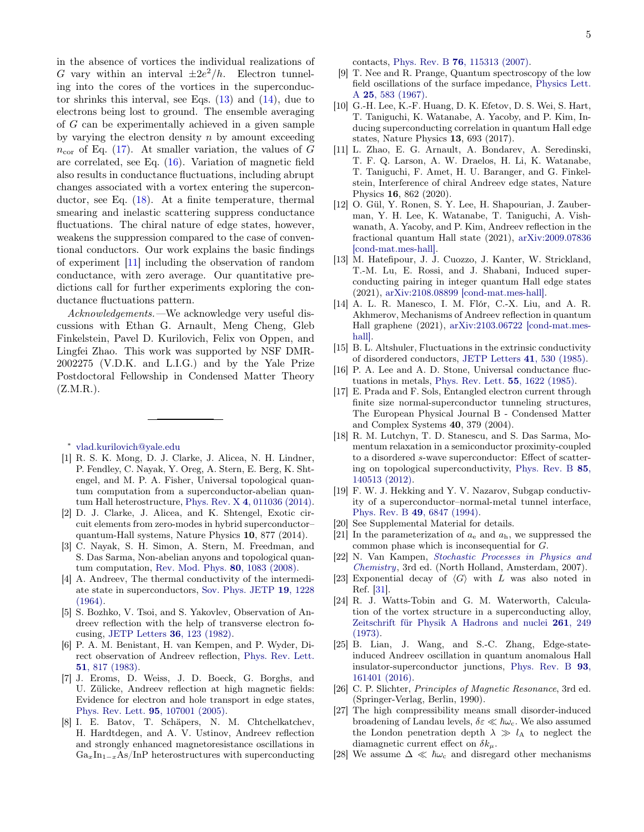in the absence of vortices the individual realizations of G vary within an interval  $\pm 2e^2/h$ . Electron tunneling into the cores of the vortices in the superconductor shrinks this interval, see Eqs. (13) and (14), due to electrons being lost to ground. The ensemble averaging of G can be experimentally achieved in a given sample by varying the electron density  $n$  by amount exceeding  $n_{\rm cor}$  of Eq. (17). At smaller variation, the values of G are correlated, see Eq. (16). Variation of magnetic field also results in conductance fluctuations, including abrupt changes associated with a vortex entering the superconductor, see Eq. (18). At a finite temperature, thermal smearing and inelastic scattering suppress conductance fluctuations. The chiral nature of edge states, however, weakens the suppression compared to the case of conventional conductors. Our work explains the basic findings of experiment [11] including the observation of random conductance, with zero average. Our quantitative predictions call for further experiments exploring the conductance fluctuations pattern.

Acknowledgements.—We acknowledge very useful discussions with Ethan G. Arnault, Meng Cheng, Gleb Finkelstein, Pavel D. Kurilovich, Felix von Oppen, and Lingfei Zhao. This work was supported by NSF DMR-2002275 (V.D.K. and L.I.G.) and by the Yale Prize Postdoctoral Fellowship in Condensed Matter Theory  $(Z.M.R.).$ 

∗ vlad.kurilovich@yale.edu

- [1] R. S. K. Mong, D. J. Clarke, J. Alicea, N. H. Lindner, P. Fendley, C. Nayak, Y. Oreg, A. Stern, E. Berg, K. Shtengel, and M. P. A. Fisher, Universal topological quantum computation from a superconductor-abelian quantum Hall heterostructure, Phys. Rev. X 4, 011036 (2014).
- [2] D. J. Clarke, J. Alicea, and K. Shtengel, Exotic circuit elements from zero-modes in hybrid superconductor– quantum-Hall systems, Nature Physics 10, 877 (2014).
- [3] C. Nayak, S. H. Simon, A. Stern, M. Freedman, and S. Das Sarma, Non-abelian anyons and topological quantum computation, Rev. Mod. Phys. 80, 1083 (2008).
- [4] A. Andreev, The thermal conductivity of the intermediate state in superconductors, Sov. Phys. JETP 19, 1228 (1964).
- [5] S. Bozhko, V. Tsoi, and S. Yakovlev, Observation of Andreev reflection with the help of transverse electron focusing, JETP Letters 36, 123 (1982).
- [6] P. A. M. Benistant, H. van Kempen, and P. Wyder, Direct observation of Andreev reflection, Phys. Rev. Lett. 51, 817 (1983).
- [7] J. Eroms, D. Weiss, J. D. Boeck, G. Borghs, and U. Zülicke, Andreev reflection at high magnetic fields: Evidence for electron and hole transport in edge states, Phys. Rev. Lett. 95, 107001 (2005).
- [8] I. E. Batov, T. Schäpers, N. M. Chtchelkatchev, H. Hardtdegen, and A. V. Ustinov, Andreev reflection and strongly enhanced magnetoresistance oscillations in  $Ga_xIn_{1-x}As/InP$  heterostructures with superconducting

contacts, Phys. Rev. B 76, 115313 (2007).

- [9] T. Nee and R. Prange, Quantum spectroscopy of the low field oscillations of the surface impedance, Physics Lett. A 25, 583 (1967).
- [10] G.-H. Lee, K.-F. Huang, D. K. Efetov, D. S. Wei, S. Hart, T. Taniguchi, K. Watanabe, A. Yacoby, and P. Kim, Inducing superconducting correlation in quantum Hall edge states, Nature Physics 13, 693 (2017).
- [11] L. Zhao, E. G. Arnault, A. Bondarev, A. Seredinski, T. F. Q. Larson, A. W. Draelos, H. Li, K. Watanabe, T. Taniguchi, F. Amet, H. U. Baranger, and G. Finkelstein, Interference of chiral Andreev edge states, Nature Physics 16, 862 (2020).
- [12] O. Gül, Y. Ronen, S. Y. Lee, H. Shapourian, J. Zauberman, Y. H. Lee, K. Watanabe, T. Taniguchi, A. Vishwanath, A. Yacoby, and P. Kim, Andreev reflection in the fractional quantum Hall state (2021), arXiv:2009.07836 [cond-mat.mes-hall].
- [13] M. Hatefipour, J. J. Cuozzo, J. Kanter, W. Strickland, T.-M. Lu, E. Rossi, and J. Shabani, Induced superconducting pairing in integer quantum Hall edge states (2021), arXiv:2108.08899 [cond-mat.mes-hall].
- [14] A. L. R. Manesco, I. M. Flór, C.-X. Liu, and A. R. Akhmerov, Mechanisms of Andreev reflection in quantum Hall graphene (2021), arXiv:2103.06722 [cond-mat.meshalll.
- [15] B. L. Altshuler, Fluctuations in the extrinsic conductivity of disordered conductors, JETP Letters 41, 530 (1985).
- [16] P. A. Lee and A. D. Stone, Universal conductance fluctuations in metals, Phys. Rev. Lett. 55, 1622 (1985).
- [17] E. Prada and F. Sols, Entangled electron current through finite size normal-superconductor tunneling structures, The European Physical Journal B - Condensed Matter and Complex Systems 40, 379 (2004).
- [18] R. M. Lutchyn, T. D. Stanescu, and S. Das Sarma, Momentum relaxation in a semiconductor proximity-coupled to a disordered s-wave superconductor: Effect of scattering on topological superconductivity, Phys. Rev. B 85, 140513 (2012).
- [19] F. W. J. Hekking and Y. V. Nazarov, Subgap conductivity of a superconductor–normal-metal tunnel interface, Phys. Rev. B 49, 6847 (1994).
- [20] See Supplemental Material for details.
- [21] In the parameterization of  $a_e$  and  $a_h$ , we suppressed the common phase which is inconsequential for G.
- [22] N. Van Kampen, Stochastic Processes in Physics and Chemistry, 3rd ed. (North Holland, Amsterdam, 2007).
- [23] Exponential decay of  $\langle G \rangle$  with L was also noted in Ref. [31].
- [24] R. J. Watts-Tobin and G. M. Waterworth, Calculation of the vortex structure in a superconducting alloy, Zeitschrift für Physik A Hadrons and nuclei 261, 249 (1973).
- [25] B. Lian, J. Wang, and S.-C. Zhang, Edge-stateinduced Andreev oscillation in quantum anomalous Hall insulator-superconductor junctions, Phys. Rev. B 93, 161401 (2016).
- [26] C. P. Slichter, Principles of Magnetic Resonance, 3rd ed. (Springer-Verlag, Berlin, 1990).
- [27] The high compressibility means small disorder-induced broadening of Landau levels,  $\delta \varepsilon \ll \hbar \omega_c$ . We also assumed the London penetration depth  $\lambda \gg l_A$  to neglect the diamagnetic current effect on  $\delta k_{\mu}$ .
- [28] We assume  $\Delta \ll \hbar \omega_c$  and disregard other mechanisms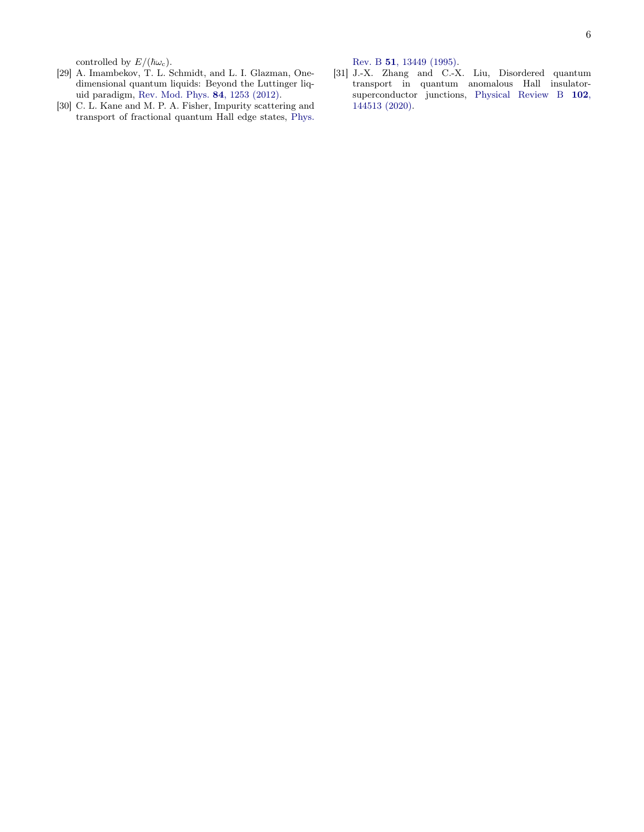controlled by  $E/(\hbar\omega_{\rm c})$ .

- [29] A. Imambekov, T. L. Schmidt, and L. I. Glazman, Onedimensional quantum liquids: Beyond the Luttinger liquid paradigm, Rev. Mod. Phys. 84, 1253 (2012).
- [30] C. L. Kane and M. P. A. Fisher, Impurity scattering and transport of fractional quantum Hall edge states, Phys.

Rev. B 51, 13449 (1995).

[31] J.-X. Zhang and C.-X. Liu, Disordered quantum transport in quantum anomalous Hall insulatorsuperconductor junctions, Physical Review B 102, 144513 (2020).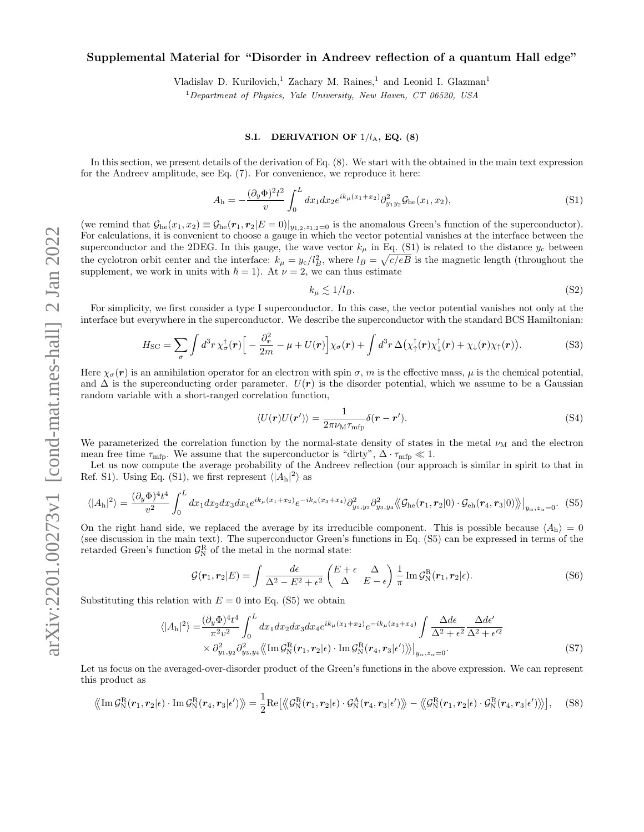## Supplemental Material for "Disorder in Andreev reflection of a quantum Hall edge"

Vladislav D. Kurilovich,<sup>1</sup> Zachary M. Raines,<sup>1</sup> and Leonid I. Glazman<sup>1</sup>

 $1$  Department of Physics, Yale University, New Haven, CT 06520, USA

### S.I. DERIVATION OF  $1/l_A$ , EQ. (8)

In this section, we present details of the derivation of Eq. (8). We start with the obtained in the main text expression for the Andreev amplitude, see Eq. (7). For convenience, we reproduce it here:

$$
A_{\rm h} = -\frac{(\partial_y \Phi)^2 t^2}{v} \int_0^L dx_1 dx_2 e^{ik_\mu(x_1+x_2)} \partial_{y_1 y_2}^2 \mathcal{G}_{\rm he}(x_1, x_2), \tag{S1}
$$

(we remind that  $\mathcal{G}_{he}(x_1, x_2) \equiv \mathcal{G}_{he}(\mathbf{r}_1, \mathbf{r}_2 | E = 0)|_{y_1, z_2, z_1, z_0}$  is the anomalous Green's function of the superconductor). For calculations, it is convenient to choose a gauge in which the vector potential vanishes at the interface between the superconductor and the 2DEG. In this gauge, the wave vector  $k_{\mu}$  in Eq. (S1) is related to the distance  $y_c$  between the cyclotron orbit center and the interface:  $k_{\mu} = y_c/l_B^2$ , where  $l_B = \sqrt{c/eB}$  is the magnetic length (throughout the supplement, we work in units with  $\hbar = 1$ ). At  $\nu = 2$ , we can thus estimate

$$
k_{\mu} \lesssim 1/l_B. \tag{S2}
$$

For simplicity, we first consider a type I superconductor. In this case, the vector potential vanishes not only at the interface but everywhere in the superconductor. We describe the superconductor with the standard BCS Hamiltonian:

$$
H_{\rm SC} = \sum_{\sigma} \int d^3 r \,\chi_{\sigma}^{\dagger}(\mathbf{r}) \Big[ -\frac{\partial_{\mathbf{r}}^2}{2m} - \mu + U(\mathbf{r}) \Big] \chi_{\sigma}(\mathbf{r}) + \int d^3 r \,\Delta(\chi_{\uparrow}^{\dagger}(\mathbf{r}) \chi_{\downarrow}^{\dagger}(\mathbf{r}) + \chi_{\downarrow}(\mathbf{r}) \chi_{\uparrow}(\mathbf{r})). \tag{S3}
$$

Here  $\chi_{\sigma}(\mathbf{r})$  is an annihilation operator for an electron with spin  $\sigma$ , m is the effective mass,  $\mu$  is the chemical potential, and  $\Delta$  is the superconducting order parameter.  $U(r)$  is the disorder potential, which we assume to be a Gaussian random variable with a short-ranged correlation function,

$$
\langle U(\mathbf{r})U(\mathbf{r}')\rangle = \frac{1}{2\pi\nu_{\rm M}\tau_{\rm mfp}}\delta(\mathbf{r}-\mathbf{r}').
$$
\n(S4)

We parameterized the correlation function by the normal-state density of states in the metal  $\nu_M$  and the electron mean free time  $\tau_{\text{mfp}}$ . We assume that the superconductor is "dirty",  $\Delta \cdot \tau_{\text{mfp}} \ll 1$ .

Let us now compute the average probability of the Andreev reflection (our approach is similar in spirit to that in Ref. S1). Using Eq. (S1), we first represent  $\langle |A_h|^2 \rangle$  as

$$
\langle |A_{\rm h}|^2 \rangle = \frac{(\partial_y \Phi)^4 t^4}{v^2} \int_0^L dx_1 dx_2 dx_3 dx_4 e^{ik_\mu(x_1+x_2)} e^{-ik_\mu(x_3+x_4)} \partial_{y_1,y_2}^2 \partial_{y_3,y_4}^2 \langle \langle \mathcal{G}_{\rm he}(\mathbf{r}_1,\mathbf{r}_2|0) \cdot \mathcal{G}_{\rm eh}(\mathbf{r}_4,\mathbf{r}_3|0) \rangle \rangle |_{y_\alpha,z_\alpha=0}.\tag{S5}
$$

On the right hand side, we replaced the average by its irreducible component. This is possible because  $\langle A_h \rangle = 0$ (see discussion in the main text). The superconductor Green's functions in Eq. (S5) can be expressed in terms of the retarded Green's function  $\mathcal{G}_{\mathbb{N}}^{\mathbb{R}}$  of the metal in the normal state:

$$
\mathcal{G}(\mathbf{r}_1, \mathbf{r}_2 | E) = \int \frac{d\epsilon}{\Delta^2 - E^2 + \epsilon^2} \begin{pmatrix} E + \epsilon & \Delta \\ \Delta & E - \epsilon \end{pmatrix} \frac{1}{\pi} \operatorname{Im} \mathcal{G}_N^R(\mathbf{r}_1, \mathbf{r}_2 | \epsilon).
$$
 (S6)

Substituting this relation with  $E = 0$  into Eq. (S5) we obtain

$$
\langle |A_{\mathbf{h}}|^2 \rangle = \frac{(\partial_y \Phi)^4 t^4}{\pi^2 v^2} \int_0^L dx_1 dx_2 dx_3 dx_4 e^{ik_\mu(x_1+x_2)} e^{-ik_\mu(x_3+x_4)} \int \frac{\Delta d\epsilon}{\Delta^2 + \epsilon^2} \frac{\Delta d\epsilon'}{\Delta^2 + \epsilon'^2} \times \partial_{y_1, y_2}^2 \partial_{y_3, y_4}^2 \langle \langle \text{Im} \mathcal{G}_{\mathbf{N}}^{\mathbf{R}}(\mathbf{r}_1, \mathbf{r}_2 | \epsilon) \cdot \text{Im} \mathcal{G}_{\mathbf{N}}^{\mathbf{R}}(\mathbf{r}_4, \mathbf{r}_3 | \epsilon') \rangle \rangle \Big|_{y_\alpha, z_\alpha = 0}.
$$
\n(S7)

Let us focus on the averaged-over-disorder product of the Green's functions in the above expression. We can represent this product as

$$
\langle \langle \operatorname{Im} \mathcal{G}_{\rm N}^{\rm R}(\boldsymbol{r}_1, \boldsymbol{r}_2 | \epsilon) \cdot \operatorname{Im} \mathcal{G}_{\rm N}^{\rm R}(\boldsymbol{r}_4, \boldsymbol{r}_3 | \epsilon') \rangle \rangle = \frac{1}{2} \operatorname{Re} \big[ \langle \langle \mathcal{G}_{\rm N}^{\rm R}(\boldsymbol{r}_1, \boldsymbol{r}_2 | \epsilon) \cdot \mathcal{G}_{\rm N}^{\rm A}(\boldsymbol{r}_4, \boldsymbol{r}_3 | \epsilon') \rangle \rangle - \langle \langle \mathcal{G}_{\rm N}^{\rm R}(\boldsymbol{r}_1, \boldsymbol{r}_2 | \epsilon) \cdot \mathcal{G}_{\rm N}^{\rm R}(\boldsymbol{r}_4, \boldsymbol{r}_3 | \epsilon') \rangle \rangle \big], \quad (S8)
$$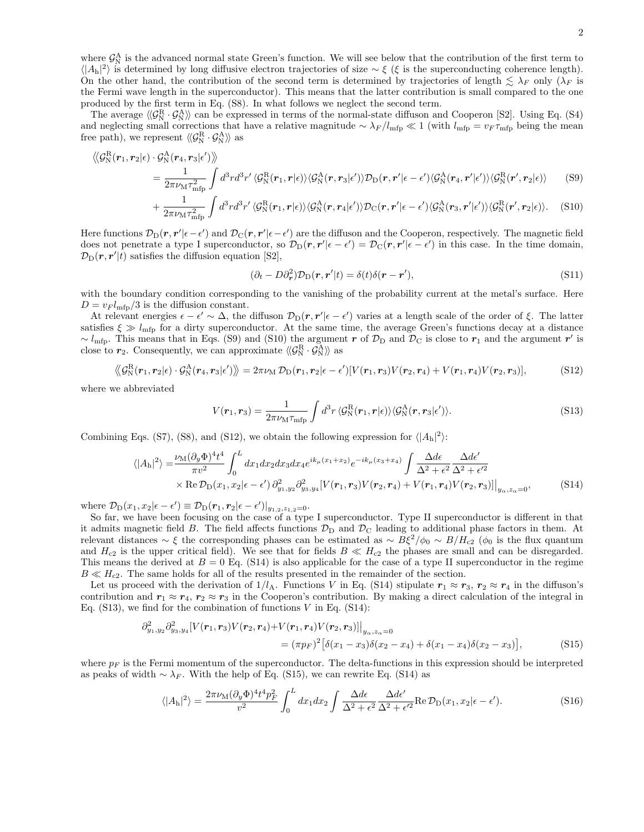where  $\mathcal{G}_{N}^{A}$  is the advanced normal state Green's function. We will see below that the contribution of the first term to  $\langle |A_h|^2 \rangle$  is determined by long diffusive electron trajectories of size ~ ξ (ξ is the superconducting coherence length). On the other hand, the contribution of the second term is determined by trajectories of length  $\leq \lambda_F$  only  $(\lambda_F$  is the Fermi wave length in the superconductor). This means that the latter contribution is small compared to the one produced by the first term in Eq. (S8). In what follows we neglect the second term.

The average  $\langle \mathcal{G}_{N}^{R} \cdot \mathcal{G}_{N}^{A} \rangle$  can be expressed in terms of the normal-state diffuson and Cooperon [S2]. Using Eq. (S4) and neglecting small corrections that have a relative magnitude  $\sim \lambda_F/l_{\rm mfp} \ll 1$  (with  $l_{\rm mfp} = v_F \tau_{\rm mfp}$  being the mean free path), we represent  $\langle \! \langle \mathcal{G}_{\rm N}^{\rm R} \cdot \mathcal{G}_{\rm N}^{\rm A} \rangle \! \rangle$  as

$$
\langle \mathcal{G}_{N}^{R}(\boldsymbol{r}_{1},\boldsymbol{r}_{2}|\epsilon) \cdot \mathcal{G}_{N}^{A}(\boldsymbol{r}_{4},\boldsymbol{r}_{3}|\epsilon') \rangle \rangle = \frac{1}{2\pi\nu_{M}\tau_{mfp}^{2}} \int d^{3}rd^{3}r' \langle \mathcal{G}_{N}^{R}(\boldsymbol{r}_{1},\boldsymbol{r}|\epsilon) \rangle \langle \mathcal{G}_{N}^{A}(\boldsymbol{r},\boldsymbol{r}_{3}|\epsilon') \rangle \mathcal{D}_{D}(\boldsymbol{r},\boldsymbol{r}'|\epsilon-\epsilon') \langle \mathcal{G}_{N}^{A}(\boldsymbol{r}_{4},\boldsymbol{r}'|\epsilon') \rangle \langle \mathcal{G}_{N}^{R}(\boldsymbol{r}',\boldsymbol{r}_{2}|\epsilon) \rangle \qquad (S9)
$$

$$
+ \frac{1}{2\pi\nu_{M}\tau_{mfp}^{2}} \int d^{3}rd^{3}r' \langle \mathcal{G}_{N}^{R}(\boldsymbol{r}_{1},\boldsymbol{r}|\epsilon) \rangle \langle \mathcal{G}_{N}^{A}(\boldsymbol{r},\boldsymbol{r}_{4}|\epsilon') \rangle \mathcal{D}_{C}(\boldsymbol{r},\boldsymbol{r}'|\epsilon-\epsilon') \langle \mathcal{G}_{N}^{A}(\boldsymbol{r}_{3},\boldsymbol{r}'|\epsilon') \rangle \langle \mathcal{G}_{N}^{R}(\boldsymbol{r}',\boldsymbol{r}_{2}|\epsilon) \rangle. \qquad (S10)
$$

Here functions  $\mathcal{D}_D(\mathbf{r}, \mathbf{r}' | \epsilon - \epsilon')$  and  $\mathcal{D}_C(\mathbf{r}, \mathbf{r}' | \epsilon - \epsilon')$  are the diffuson and the Cooperon, respectively. The magnetic field does not penetrate a type I superconductor, so  $\mathcal{D}_D(\mathbf{r}, \mathbf{r}' | \epsilon - \epsilon') = \mathcal{D}_C(\mathbf{r}, \mathbf{r}' | \epsilon - \epsilon')$  in this case. In the time domain,  $\mathcal{D}_{\mathrm{D}}(\mathbf{r}, \mathbf{r}' | t)$  satisfies the diffusion equation [S2],

$$
(\partial_t - D\partial_r^2)\mathcal{D}_D(\mathbf{r}, \mathbf{r}' | t) = \delta(t)\delta(\mathbf{r} - \mathbf{r}'),
$$
\n(S11)

with the boundary condition corresponding to the vanishing of the probability current at the metal's surface. Here  $D = v_F l_{\text{mfp}}/3$  is the diffusion constant.

At relevant energies  $\epsilon - \epsilon' \sim \Delta$ , the diffuson  $\mathcal{D}_D(r, r'|\epsilon - \epsilon')$  varies at a length scale of the order of  $\xi$ . The latter satisfies  $\xi \gg l_{\text{mfp}}$  for a dirty superconductor. At the same time, the average Green's functions decay at a distance ~  $l_{\text{mfp}}$ . This means that in Eqs. (S9) and (S10) the argument r of  $\mathcal{D}_{\text{D}}$  and  $\mathcal{D}_{\text{C}}$  is close to  $r_1$  and the argument r' is close to  $r_2$ . Consequently, we can approximate  $\langle \! \langle \mathcal{G}_{\text{N}}^{\text{R}} \cdot \mathcal{G}_{\text{N}}^{\text{A}} \rangle \! \rangle$  as

$$
\langle\!\langle \mathcal{G}_{\mathrm{N}}^{\mathrm{R}}(\boldsymbol{r}_1,\boldsymbol{r}_2|\epsilon)\cdot\mathcal{G}_{\mathrm{N}}^{\mathrm{A}}(\boldsymbol{r}_4,\boldsymbol{r}_3|\epsilon')\rangle\!\rangle=2\pi\nu_{\mathrm{M}}\,\mathcal{D}_{\mathrm{D}}(\boldsymbol{r}_1,\boldsymbol{r}_2|\epsilon-\epsilon')[V(\boldsymbol{r}_1,\boldsymbol{r}_3)V(\boldsymbol{r}_2,\boldsymbol{r}_4)+V(\boldsymbol{r}_1,\boldsymbol{r}_4)V(\boldsymbol{r}_2,\boldsymbol{r}_3)],\tag{S12}
$$

where we abbreviated

$$
V(\mathbf{r}_1, \mathbf{r}_3) = \frac{1}{2\pi\nu_{\rm M}\tau_{\rm mfp}} \int d^3r \, \langle \mathcal{G}_{\rm N}^{\rm R}(\mathbf{r}_1, \mathbf{r}|\epsilon) \rangle \langle \mathcal{G}_{\rm N}^{\rm A}(\mathbf{r}, \mathbf{r}_3|\epsilon') \rangle. \tag{S13}
$$

Combining Eqs. (S7), (S8), and (S12), we obtain the following expression for  $\langle |A_h|^2 \rangle$ :

$$
\langle |A_{\mathbf{h}}|^2 \rangle = \frac{\nu_{\mathbf{M}} (\partial_y \Phi)^4 t^4}{\pi v^2} \int_0^L dx_1 dx_2 dx_3 dx_4 e^{ik_\mu(x_1+x_2)} e^{-ik_\mu(x_3+x_4)} \int \frac{\Delta d\epsilon}{\Delta^2 + \epsilon^2} \frac{\Delta d\epsilon'}{\Delta^2 + \epsilon'^2} \times \text{Re} \mathcal{D}_{\mathbf{D}}(x_1, x_2 | \epsilon - \epsilon') \partial_{y_1, y_2}^2 \partial_{y_3, y_4}^2 [V(\mathbf{r}_1, \mathbf{r}_3) V(\mathbf{r}_2, \mathbf{r}_4) + V(\mathbf{r}_1, \mathbf{r}_4) V(\mathbf{r}_2, \mathbf{r}_3)] \big|_{y_\alpha, z_\alpha = 0},
$$
\n(S14)

where  $\mathcal{D}_{\mathrm{D}}(x_1, x_2 | \epsilon - \epsilon') \equiv \mathcal{D}_{\mathrm{D}}(\mathbf{r}_1, \mathbf{r}_2 | \epsilon - \epsilon')|_{y_{1,2}, z_{1,2}=0}.$ 

So far, we have been focusing on the case of a type I superconductor. Type II superconductor is different in that it admits magnetic field B. The field affects functions  $\mathcal{D}_D$  and  $\mathcal{D}_C$  leading to additional phase factors in them. At relevant distances ∼ ξ the corresponding phases can be estimated as  $~\sim B\xi^2/\phi_0~\sim B/H_{c2}$  ( $\phi_0$  is the flux quantum and  $H_{c2}$  is the upper critical field). We see that for fields  $B \ll H_{c2}$  the phases are small and can be disregarded. This means the derived at  $B = 0$  Eq. (S14) is also applicable for the case of a type II superconductor in the regime  $B \ll H_{c2}$ . The same holds for all of the results presented in the remainder of the section.

Let us proceed with the derivation of  $1/l_A$ . Functions V in Eq. (S14) stipulate  $r_1 \approx r_3$ ,  $r_2 \approx r_4$  in the diffuson's contribution and  $r_1 \approx r_4$ ,  $r_2 \approx r_3$  in the Cooperon's contribution. By making a direct calculation of the integral in Eq.  $(S13)$ , we find for the combination of functions V in Eq.  $(S14)$ :

$$
\partial_{y_1, y_2}^2 \partial_{y_3, y_4}^2 [V(\mathbf{r}_1, \mathbf{r}_3) V(\mathbf{r}_2, \mathbf{r}_4) + V(\mathbf{r}_1, \mathbf{r}_4) V(\mathbf{r}_2, \mathbf{r}_3)] \Big|_{y_\alpha, z_\alpha = 0}
$$
  
=  $(\pi p_F)^2 [\delta(x_1 - x_3) \delta(x_2 - x_4) + \delta(x_1 - x_4) \delta(x_2 - x_3)],$  (S15)

where  $p_F$  is the Fermi momentum of the superconductor. The delta-functions in this expression should be interpreted as peaks of width  $\sim \lambda_F$ . With the help of Eq. (S15), we can rewrite Eq. (S14) as

$$
\langle |A_{\mathbf{h}}|^2 \rangle = \frac{2\pi\nu_{\mathbf{M}}(\partial_y \Phi)^4 t^4 p_F^2}{v^2} \int_0^L dx_1 dx_2 \int \frac{\Delta d\epsilon}{\Delta^2 + \epsilon^2} \frac{\Delta d\epsilon'}{\Delta^2 + \epsilon'^2} \text{Re}\,\mathcal{D}_{\mathbf{D}}(x_1, x_2 | \epsilon - \epsilon'). \tag{S16}
$$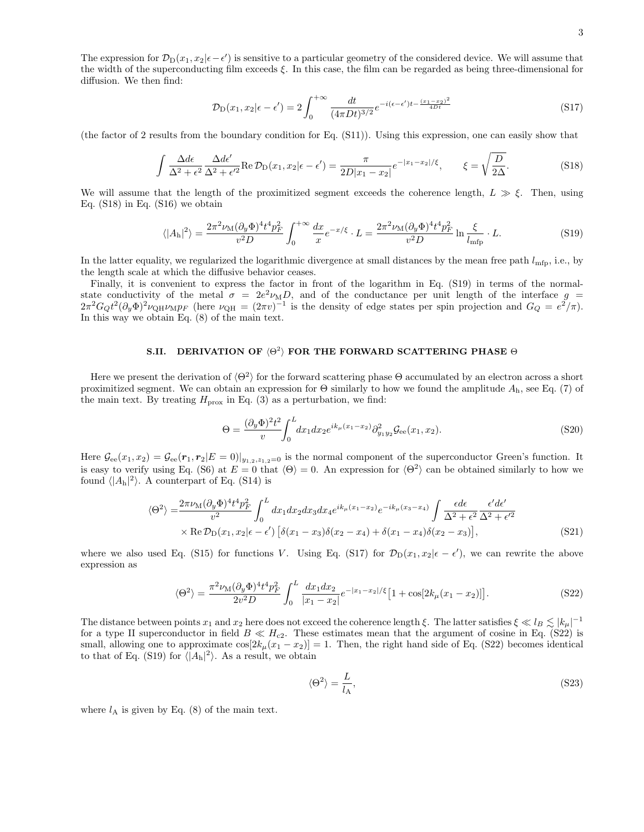The expression for  $\mathcal{D}_D(x_1, x_2|\epsilon - \epsilon')$  is sensitive to a particular geometry of the considered device. We will assume that the width of the superconducting film exceeds  $\xi$ . In this case, the film can be regarded as being three-dimensional for diffusion. We then find:

$$
\mathcal{D}_{\mathcal{D}}(x_1, x_2 | \epsilon - \epsilon') = 2 \int_0^{+\infty} \frac{dt}{(4\pi Dt)^{3/2}} e^{-i(\epsilon - \epsilon')t - \frac{(x_1 - x_2)^2}{4Dt}} \tag{S17}
$$

(the factor of 2 results from the boundary condition for Eq. (S11)). Using this expression, one can easily show that

$$
\int \frac{\Delta d\epsilon}{\Delta^2 + \epsilon^2} \frac{\Delta d\epsilon'}{\Delta^2 + \epsilon'^2} \text{Re} \, \mathcal{D}_D(x_1, x_2 | \epsilon - \epsilon') = \frac{\pi}{2D|x_1 - x_2|} e^{-|x_1 - x_2|/\xi}, \qquad \xi = \sqrt{\frac{D}{2\Delta}}.
$$
\n(S18)

We will assume that the length of the proximitized segment exceeds the coherence length,  $L \gg \xi$ . Then, using Eq. (S18) in Eq. (S16) we obtain

$$
\langle |A_{\mathbf{h}}|^2 \rangle = \frac{2\pi^2 \nu_{\mathbf{M}} (\partial_y \Phi)^4 t^4 p_F^2}{v^2 D} \int_0^{+\infty} \frac{dx}{x} e^{-x/\xi} \cdot L = \frac{2\pi^2 \nu_{\mathbf{M}} (\partial_y \Phi)^4 t^4 p_F^2}{v^2 D} \ln \frac{\xi}{l_{\text{mfp}}} \cdot L. \tag{S19}
$$

In the latter equality, we regularized the logarithmic divergence at small distances by the mean free path  $l_{\text{mfp}}$ , i.e., by the length scale at which the diffusive behavior ceases.

Finally, it is convenient to express the factor in front of the logarithm in Eq. (S19) in terms of the normalstate conductivity of the metal  $\sigma = 2e^2 \nu_M D$ , and of the conductance per unit length of the interface  $g =$  $2\pi^2 G_Q t^2 (\partial_y \Phi)^2 \nu_{\text{QH}} \nu_{\text{M}} p_F$  (here  $\nu_{\text{QH}} = (2\pi v)^{-1}$  is the density of edge states per spin projection and  $G_Q = e^2/\pi$ ). In this way we obtain Eq. (8) of the main text.

# S.II. DERIVATION OF  $\langle \Theta^2 \rangle$  for the forward scattering phase  $\Theta$

Here we present the derivation of  $\langle \Theta^2 \rangle$  for the forward scattering phase  $\Theta$  accumulated by an electron across a short proximitized segment. We can obtain an expression for  $\Theta$  similarly to how we found the amplitude  $A_h$ , see Eq. (7) of the main text. By treating  $H_{\text{prox}}$  in Eq. (3) as a perturbation, we find:

$$
\Theta = \frac{(\partial_y \Phi)^2 t^2}{v} \int_0^L dx_1 dx_2 e^{ik_\mu (x_1 - x_2)} \partial_{y_1 y_2}^2 \mathcal{G}_{ee}(x_1, x_2).
$$
\n(S20)

Here  $\mathcal{G}_{ee}(x_1, x_2) = \mathcal{G}_{ee}(\mathbf{r}_1, \mathbf{r}_2 | E = 0)|_{y_1, y_2, z_1, z = 0}$  is the normal component of the superconductor Green's function. It is easy to verify using Eq. (S6) at  $E = 0$  that  $\langle \Theta \rangle = 0$ . An expression for  $\langle \Theta^2 \rangle$  can be obtained similarly to how we found  $\langle |A_h|^2 \rangle$ . A counterpart of Eq. (S14) is

$$
\langle \Theta^2 \rangle = \frac{2\pi \nu_{\rm M} (\partial_y \Phi)^4 t^4 p_F^2}{v^2} \int_0^L dx_1 dx_2 dx_3 dx_4 e^{ik_\mu(x_1 - x_2)} e^{-ik_\mu(x_3 - x_4)} \int \frac{\epsilon d\epsilon}{\Delta^2 + \epsilon^2} \frac{\epsilon' d\epsilon'}{\Delta^2 + \epsilon'^2} \times \text{Re} \mathcal{D}_{\rm D}(x_1, x_2 | \epsilon - \epsilon') \left[ \delta(x_1 - x_3) \delta(x_2 - x_4) + \delta(x_1 - x_4) \delta(x_2 - x_3) \right],
$$
\n(S21)

where we also used Eq. (S15) for functions V. Using Eq. (S17) for  $\mathcal{D}_D(x_1, x_2 | \epsilon - \epsilon')$ , we can rewrite the above expression as

$$
\langle \Theta^2 \rangle = \frac{\pi^2 \nu_\text{M} (\partial_y \Phi)^4 t^4 p_F^2}{2v^2 D} \int_0^L \frac{dx_1 dx_2}{|x_1 - x_2|} e^{-|x_1 - x_2|/\xi} \left[ 1 + \cos[2k_\mu (x_1 - x_2)] \right]. \tag{S22}
$$

The distance between points  $x_1$  and  $x_2$  here does not exceed the coherence length  $\xi$ . The latter satisfies  $\xi \ll l_B \lesssim |k_\mu|^{-1}$ for a type II superconductor in field  $B \ll H_{c2}$ . These estimates mean that the argument of cosine in Eq. (S22) is small, allowing one to approximate  $\cos[2k_{\mu}(x_1 - x_2)] = 1$ . Then, the right hand side of Eq. (S22) becomes identical to that of Eq. (S19) for  $\langle |A_h|^2 \rangle$ . As a result, we obtain

$$
\langle \Theta^2 \rangle = \frac{L}{l_A},\tag{S23}
$$

where  $l_A$  is given by Eq. (8) of the main text.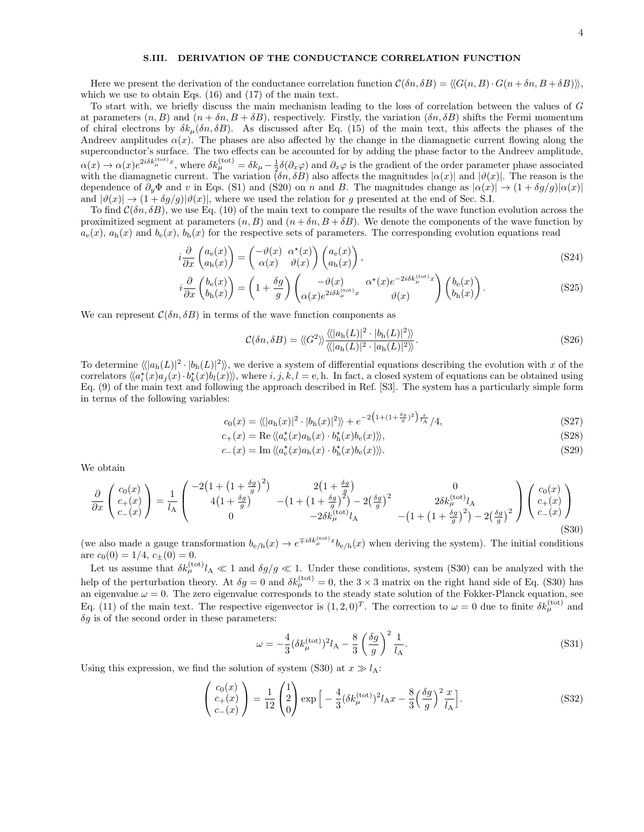### S.III. DERIVATION OF THE CONDUCTANCE CORRELATION FUNCTION

Here we present the derivation of the conductance correlation function  $C(\delta n, \delta B) = \langle G(n, B) \cdot G(n + \delta n, B + \delta B) \rangle$ , which we use to obtain Eqs. (16) and (17) of the main text.

To start with, we briefly discuss the main mechanism leading to the loss of correlation between the values of G at parameters  $(n, B)$  and  $(n + \delta n, B + \delta B)$ , respectively. Firstly, the variation  $(\delta n, \delta B)$  shifts the Fermi momentum of chiral electrons by  $\delta k_{\mu}(\delta n, \delta B)$ . As discussed after Eq. (15) of the main text, this affects the phases of the Andreev amplitudes  $\alpha(x)$ . The phases are also affected by the change in the diamagnetic current flowing along the superconductor's surface. The two effects can be accounted for by adding the phase factor to the Andreev amplitude,  $\alpha(x) \to \alpha(x)e^{2i\delta k_{\mu}^{(\text{tot})}x}$ , where  $\delta k_{\mu}^{(\text{tot})} = \delta k_{\mu} - \frac{1}{2}\delta(\partial_x\varphi)$  and  $\partial_x\varphi$  is the gradient of the order parameter phase associated with the diamagnetic current. The variation  $(\delta n, \delta B)$  also affects the magnitudes  $|\alpha(x)|$  and  $|\vartheta(x)|$ . The reason is the dependence of  $\partial_y \Phi$  and v in Eqs. (S1) and (S20) on n and B. The magnitudes change as  $|\alpha(x)| \to (1 + \delta g/g)|\alpha(x)|$ and  $|\vartheta(x)| \to (1 + \delta g/g) |\vartheta(x)|$ , where we used the relation for g presented at the end of Sec. S.I.

To find  $\mathcal{C}(\delta n, \delta B)$ , we use Eq. (10) of the main text to compare the results of the wave function evolution across the proximitized segment at parameters  $(n, B)$  and  $(n + \delta n, B + \delta B)$ . We denote the components of the wave function by  $a_{\rm e}(x)$ ,  $a_{\rm h}(x)$  and  $b_{\rm e}(x)$ ,  $b_{\rm h}(x)$  for the respective sets of parameters. The corresponding evolution equations read

$$
i\frac{\partial}{\partial x}\begin{pmatrix} a_{e}(x) \\ a_{h}(x) \end{pmatrix} = \begin{pmatrix} -\vartheta(x) & \alpha^{\star}(x) \\ \alpha(x) & \vartheta(x) \end{pmatrix} \begin{pmatrix} a_{e}(x) \\ a_{h}(x) \end{pmatrix},
$$
\n(S24)

$$
i\frac{\partial}{\partial x}\begin{pmatrix}b_{\rm e}(x)\\b_{\rm h}(x)\end{pmatrix} = \left(1 + \frac{\delta g}{g}\right)\begin{pmatrix}-\vartheta(x) & \alpha^*(x)e^{-2i\delta k_{\mu}^{\text{(tot)}}x} \\ \alpha(x)e^{2i\delta k_{\mu}^{\text{(tot)}}x} & \vartheta(x)\end{pmatrix}\begin{pmatrix}b_{\rm e}(x)\\b_{\rm h}(x)\end{pmatrix}.
$$
 (S25)

We can represent  $\mathcal{C}(\delta n, \delta B)$  in terms of the wave function components as

$$
\mathcal{C}(\delta n, \delta B) = \langle \langle G^2 \rangle \rangle \frac{\langle \langle |a_{\rm h}(L)|^2 \cdot |b_{\rm h}(L)|^2 \rangle \rangle}{\langle \langle |a_{\rm h}(L)|^2 \cdot |a_{\rm h}(L)|^2 \rangle \rangle}.
$$
\n(S26)

To determine  $\langle \langle |a_{\rm h}(L)|^2 \cdot |b_{\rm h}(L)|^2 \rangle \rangle$ , we derive a system of differential equations describing the evolution with x of the correlators  $\langle \langle a_i^*(x)a_j(x) \cdot b_k^*(x)b_l(x) \rangle \rangle$ , where  $i, j, k, l = e, h$ . In fact, a closed system of equations can be obtained using Eq. (9) of the main text and following the approach described in Ref. [S3]. The system has a particularly simple form in terms of the following variables:

$$
c_0(x) = \langle \langle |a_{\mathbf{h}}(x)|^2 \cdot |b_{\mathbf{h}}(x)|^2 \rangle \rangle + e^{-2\left(1 + (1 + \frac{\delta g}{g})^2\right) \frac{x}{l_A}/4},
$$
\n
$$
c_+(x) = \text{Re}\,\langle \langle a_{\mathbf{e}}^*(x)a_{\mathbf{h}}(x) \cdot b_{\mathbf{h}}^*(x)b_{\mathbf{e}}(x) \rangle \rangle,
$$
\n(S28)

$$
c_{+}(x) = \text{Re}\,\langle\langle a_{e}^{\star}(x)a_{h}(x)\cdot b_{h}^{\star}(x)b_{e}(x)\rangle\rangle,
$$
\n(S28)

$$
c_{-}(x) = \operatorname{Im} \langle \langle a_{\mathbf{e}}^{\star}(x) a_{\mathbf{h}}(x) \cdot b_{\mathbf{h}}^{\star}(x) b_{\mathbf{e}}(x) \rangle \rangle. \tag{S29}
$$

We obtain

$$
\frac{\partial}{\partial x}\begin{pmatrix}c_0(x)\\c_+(x)\\c_-(x)\end{pmatrix} = \frac{1}{l_A}\begin{pmatrix}-2\left(1+\left(1+\frac{\delta g}{g}\right)^2\right) & 2\left(1+\frac{\delta g}{g}\right) & 0\\4\left(1+\frac{\delta g}{g}\right) & -\left(1+\left(1+\frac{\delta g}{g}\right)^2\right)-2\left(\frac{\delta g}{g}\right)^2 & 2\delta k_\mu^{(\text{tot})}l_A\\0 & -2\delta k_\mu^{(\text{tot})}l_A & -\left(1+\left(1+\frac{\delta g}{g}\right)^2\right)-2\left(\frac{\delta g}{g}\right)^2\end{pmatrix}\begin{pmatrix}c_0(x)\\c_+(x)\\c_-(x)\end{pmatrix}
$$
\n(S30)

(we also made a gauge transformation  $b_{e/h}(x) \to e^{\mp i\delta k_\mu^{(\text{tot})}x} b_{e/h}(x)$  when deriving the system). The initial conditions are  $c_0(0) = 1/4$ ,  $c_{\pm}(0) = 0$ .

Let us assume that  $\delta k_{\mu}^{(\text{tot})} l_A \ll 1$  and  $\delta g/g \ll 1$ . Under these conditions, system (S30) can be analyzed with the help of the perturbation theory. At  $\delta g = 0$  and  $\delta k_{\mu}^{(\text{tot})} = 0$ , the  $3 \times 3$  matrix on the right hand side of Eq. (S30) has<br>an eigenvalue  $\omega = 0$ . The zero eigenvalue corresponds to the steady state solution of the F Eq. (11) of the main text. The respective eigenvector is  $(1, 2, 0)^T$ . The correction to  $\omega = 0$  due to finite  $\delta k_\mu^{(\text{tot})}$  and  $\delta g$  is of the second order in these parameters:

$$
\omega = -\frac{4}{3} (\delta k_{\mu}^{(\text{tot})})^2 l_{\text{A}} - \frac{8}{3} \left(\frac{\delta g}{g}\right)^2 \frac{1}{l_{\text{A}}}.\tag{S31}
$$

Using this expression, we find the solution of system (S30) at  $x \gg l_A$ :

$$
\begin{pmatrix} c_0(x) \\ c_+(x) \\ c_-(x) \end{pmatrix} = \frac{1}{12} \begin{pmatrix} 1 \\ 2 \\ 0 \end{pmatrix} \exp\Big[-\frac{4}{3} (\delta k_{\mu}^{(\text{tot})})^2 l_A x - \frac{8}{3} \Big(\frac{\delta g}{g}\Big)^2 \frac{x}{l_A}\Big].
$$
\n
$$
(S32)
$$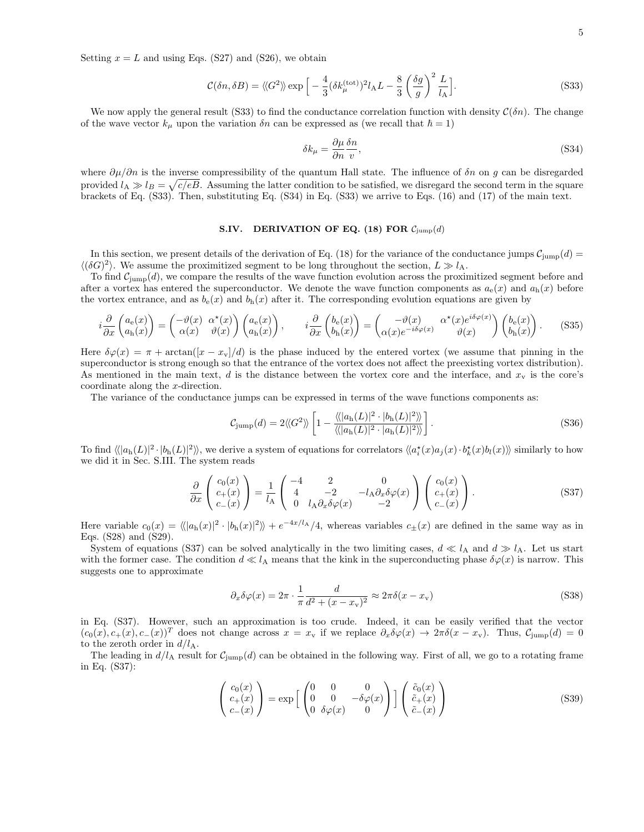Setting  $x = L$  and using Eqs. (S27) and (S26), we obtain

$$
\mathcal{C}(\delta n, \delta B) = \langle \langle G^2 \rangle \rangle \exp \left[ -\frac{4}{3} (\delta k_{\mu}^{(\text{tot})})^2 l_{\text{A}} L - \frac{8}{3} \left( \frac{\delta g}{g} \right)^2 \frac{L}{l_{\text{A}}} \right]. \tag{S33}
$$

We now apply the general result (S33) to find the conductance correlation function with density  $\mathcal{C}(\delta n)$ . The change of the wave vector  $k_{\mu}$  upon the variation  $\delta n$  can be expressed as (we recall that  $\hbar = 1$ )

$$
\delta k_{\mu} = \frac{\partial \mu}{\partial n} \frac{\delta n}{v},\tag{S34}
$$

where  $\partial \mu / \partial n$  is the inverse compressibility of the quantum Hall state. The influence of  $\delta n$  on g can be disregarded provided  $l_A \gg l_B = \sqrt{c/eB}$ . Assuming the latter condition to be satisfied, we disregard the second term in the square brackets of Eq. (S33). Then, substituting Eq. (S34) in Eq. (S33) we arrive to Eqs. (16) and (17) of the main text.

#### S.IV. DERIVATION OF EQ. (18) FOR  $C_{\text{jump}}(d)$

In this section, we present details of the derivation of Eq. (18) for the variance of the conductance jumps  $C_{\text{jump}}(d)$  $\langle (\delta G)^2 \rangle$ . We assume the proximitized segment to be long throughout the section,  $L \gg l_A$ .

To find  $C_{\text{jump}}(d)$ , we compare the results of the wave function evolution across the proximitized segment before and after a vortex has entered the superconductor. We denote the wave function components as  $a_e(x)$  and  $a_h(x)$  before the vortex entrance, and as  $b_e(x)$  and  $b_h(x)$  after it. The corresponding evolution equations are given by

$$
i\frac{\partial}{\partial x}\begin{pmatrix} a_{\rm e}(x) \\ a_{\rm h}(x) \end{pmatrix} = \begin{pmatrix} -\vartheta(x) & \alpha^*(x) \\ \alpha(x) & \vartheta(x) \end{pmatrix} \begin{pmatrix} a_{\rm e}(x) \\ a_{\rm h}(x) \end{pmatrix}, \qquad i\frac{\partial}{\partial x}\begin{pmatrix} b_{\rm e}(x) \\ b_{\rm h}(x) \end{pmatrix} = \begin{pmatrix} -\vartheta(x) & \alpha^*(x)e^{i\delta\varphi(x)} \\ \alpha(x)e^{-i\delta\varphi(x)} & \vartheta(x) \end{pmatrix} \begin{pmatrix} b_{\rm e}(x) \\ b_{\rm h}(x) \end{pmatrix}.
$$
 (S35)

Here  $\delta\varphi(x) = \pi + \arctan([x - x_v]/d)$  is the phase induced by the entered vortex (we assume that pinning in the superconductor is strong enough so that the entrance of the vortex does not affect the preexisting vortex distribution). As mentioned in the main text,  $d$  is the distance between the vortex core and the interface, and  $x<sub>v</sub>$  is the core's coordinate along the x-direction.

The variance of the conductance jumps can be expressed in terms of the wave functions components as:

$$
\mathcal{C}_{\text{jump}}(d) = 2 \langle \langle G^2 \rangle \rangle \left[ 1 - \frac{\langle \langle |a_{\text{h}}(L)|^2 \cdot |b_{\text{h}}(L)|^2 \rangle \rangle}{\langle \langle |a_{\text{h}}(L)|^2 \cdot |a_{\text{h}}(L)|^2 \rangle \rangle} \right]. \tag{S36}
$$

To find  $\langle \langle |a_{\rm h}(L)|^2 \cdot |b_{\rm h}(L)|^2 \rangle \rangle$ , we derive a system of equations for correlators  $\langle \langle a_{i}^{*}(x) a_{j}(x) \cdot b_{k}^{*}(x) b_{l}(x) \rangle \rangle$  similarly to how we did it in Sec. S.III. The system reads

$$
\frac{\partial}{\partial x}\begin{pmatrix}c_0(x)\\c_+(x)\\c_-(x)\end{pmatrix} = \frac{1}{l_A}\begin{pmatrix}-4&2&0\\4&-2&-l_A\partial_x\delta\varphi(x)\\0&l_A\partial_x\delta\varphi(x)&-2\end{pmatrix}\begin{pmatrix}c_0(x)\\c_+(x)\\c_-(x)\end{pmatrix}.
$$
(S37)

Here variable  $c_0(x) = \langle \langle |a_h(x)|^2 \cdot |b_h(x)|^2 \rangle \rangle + e^{-4x/l_A}/4$ , whereas variables  $c_{\pm}(x)$  are defined in the same way as in Eqs. (S28) and (S29).

System of equations (S37) can be solved analytically in the two limiting cases,  $d \ll l_A$  and  $d \gg l_A$ . Let us start with the former case. The condition  $d \ll l_A$  means that the kink in the superconducting phase  $\delta\varphi(x)$  is narrow. This suggests one to approximate

$$
\partial_x \delta \varphi(x) = 2\pi \cdot \frac{1}{\pi} \frac{d}{d^2 + (x - x_v)^2} \approx 2\pi \delta(x - x_v)
$$
 (S38)

in Eq. (S37). However, such an approximation is too crude. Indeed, it can be easily verified that the vector  $(c_0(x), c_+(x), c_-(x))^T$  does not change across  $x = x<sub>y</sub>$  if we replace  $\partial_x \delta \varphi(x) \to 2\pi \delta(x - x_v)$ . Thus,  $C_{\text{jump}}(d) = 0$ to the zeroth order in  $d/l_A$ .

The leading in  $d/l_A$  result for  $C_{\text{jump}}(d)$  can be obtained in the following way. First of all, we go to a rotating frame in Eq. (S37):

$$
\begin{pmatrix} c_0(x) \\ c_+(x) \\ c_-(x) \end{pmatrix} = \exp\left[\begin{pmatrix} 0 & 0 & 0 \\ 0 & 0 & -\delta\varphi(x) \\ 0 & \delta\varphi(x) & 0 \end{pmatrix}\right] \begin{pmatrix} \tilde{c}_0(x) \\ \tilde{c}_+(x) \\ \tilde{c}_-(x) \end{pmatrix}
$$
(S39)